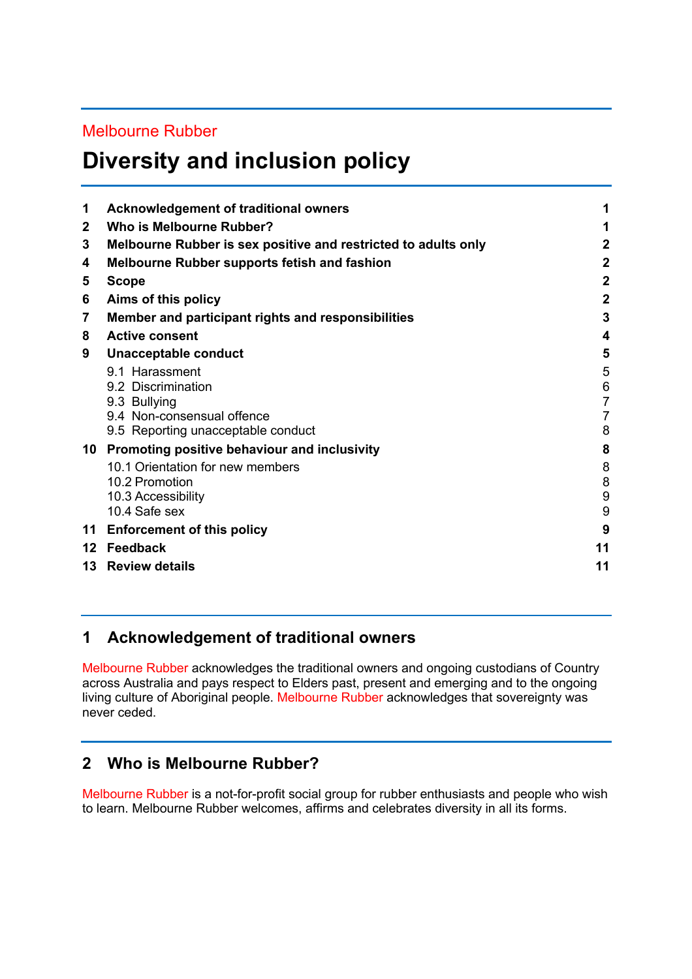### Melbourne Rubber

# **Diversity and inclusion policy**

| 1              | <b>Acknowledgement of traditional owners</b>                   |                |
|----------------|----------------------------------------------------------------|----------------|
| $\overline{2}$ | Who is Melbourne Rubber?                                       |                |
| 3              | Melbourne Rubber is sex positive and restricted to adults only | $\overline{2}$ |
| 4              | <b>Melbourne Rubber supports fetish and fashion</b>            | $\overline{2}$ |
| 5              | <b>Scope</b>                                                   | $\overline{2}$ |
| 6              | Aims of this policy                                            | $\overline{2}$ |
| 7              | Member and participant rights and responsibilities             | 3              |
| 8              | <b>Active consent</b>                                          | 4              |
| 9              | Unacceptable conduct                                           | 5              |
|                | 9.1 Harassment                                                 | 5              |
|                | 9.2 Discrimination                                             | 6              |
|                | 9.3 Bullying                                                   | $\overline{7}$ |
|                | 9.4 Non-consensual offence                                     | 7              |
|                | 9.5 Reporting unacceptable conduct                             | 8              |
| 10             | Promoting positive behaviour and inclusivity                   | 8              |
|                | 10.1 Orientation for new members                               | 8              |
|                | 10.2 Promotion                                                 | 8              |
|                | 10.3 Accessibility                                             | 9              |
|                | 10.4 Safe sex                                                  | 9              |
| 11             | <b>Enforcement of this policy</b>                              | 9              |
|                | 12 Feedback                                                    | 11             |
| 13             | <b>Review details</b>                                          | 11             |
|                |                                                                |                |

### **1 Acknowledgement of traditional owners**

Melbourne Rubber acknowledges the traditional owners and ongoing custodians of Country across Australia and pays respect to Elders past, present and emerging and to the ongoing living culture of Aboriginal people. Melbourne Rubber acknowledges that sovereignty was never ceded.

# **2 Who is Melbourne Rubber?**

Melbourne Rubber is a not-for-profit social group for rubber enthusiasts and people who wish to learn. Melbourne Rubber welcomes, affirms and celebrates diversity in all its forms.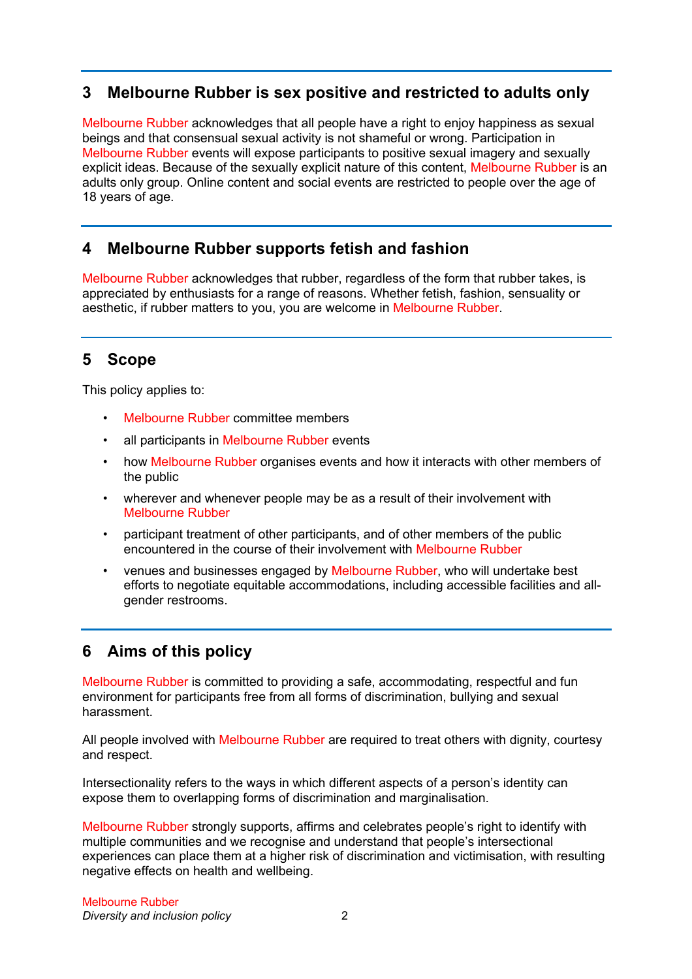### **3 Melbourne Rubber is sex positive and restricted to adults only**

Melbourne Rubber acknowledges that all people have a right to enjoy happiness as sexual beings and that consensual sexual activity is not shameful or wrong. Participation in Melbourne Rubber events will expose participants to positive sexual imagery and sexually explicit ideas. Because of the sexually explicit nature of this content, Melbourne Rubber is an adults only group. Online content and social events are restricted to people over the age of 18 years of age.

### **4 Melbourne Rubber supports fetish and fashion**

Melbourne Rubber acknowledges that rubber, regardless of the form that rubber takes, is appreciated by enthusiasts for a range of reasons. Whether fetish, fashion, sensuality or aesthetic, if rubber matters to you, you are welcome in Melbourne Rubber.

# **5 Scope**

This policy applies to:

- Melbourne Rubber committee members
- all participants in Melbourne Rubber events
- how Melbourne Rubber organises events and how it interacts with other members of the public
- wherever and whenever people may be as a result of their involvement with Melbourne Rubber
- participant treatment of other participants, and of other members of the public encountered in the course of their involvement with Melbourne Rubber
- venues and businesses engaged by Melbourne Rubber, who will undertake best efforts to negotiate equitable accommodations, including accessible facilities and allgender restrooms.

# **6 Aims of this policy**

Melbourne Rubber is committed to providing a safe, accommodating, respectful and fun environment for participants free from all forms of discrimination, bullying and sexual harassment.

All people involved with Melbourne Rubber are required to treat others with dignity, courtesy and respect.

Intersectionality refers to the ways in which different aspects of a person's identity can expose them to overlapping forms of discrimination and marginalisation.

Melbourne Rubber strongly supports, affirms and celebrates people's right to identify with multiple communities and we recognise and understand that people's intersectional experiences can place them at a higher risk of discrimination and victimisation, with resulting negative effects on health and wellbeing.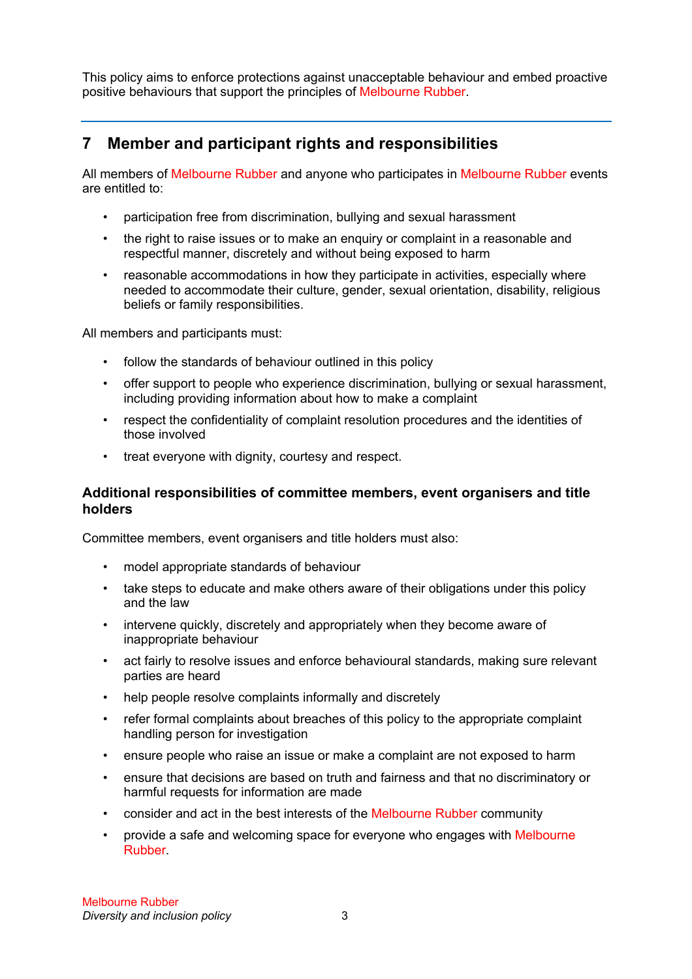This policy aims to enforce protections against unacceptable behaviour and embed proactive positive behaviours that support the principles of Melbourne Rubber.

# **7 Member and participant rights and responsibilities**

All members of Melbourne Rubber and anyone who participates in Melbourne Rubber events are entitled to:

- participation free from discrimination, bullying and sexual harassment
- the right to raise issues or to make an enquiry or complaint in a reasonable and respectful manner, discretely and without being exposed to harm
- reasonable accommodations in how they participate in activities, especially where needed to accommodate their culture, gender, sexual orientation, disability, religious beliefs or family responsibilities.

All members and participants must:

- follow the standards of behaviour outlined in this policy
- offer support to people who experience discrimination, bullying or sexual harassment, including providing information about how to make a complaint
- respect the confidentiality of complaint resolution procedures and the identities of those involved
- treat everyone with dignity, courtesy and respect.

### **Additional responsibilities of committee members, event organisers and title holders**

Committee members, event organisers and title holders must also:

- model appropriate standards of behaviour
- take steps to educate and make others aware of their obligations under this policy and the law
- intervene quickly, discretely and appropriately when they become aware of inappropriate behaviour
- act fairly to resolve issues and enforce behavioural standards, making sure relevant parties are heard
- help people resolve complaints informally and discretely
- refer formal complaints about breaches of this policy to the appropriate complaint handling person for investigation
- ensure people who raise an issue or make a complaint are not exposed to harm
- ensure that decisions are based on truth and fairness and that no discriminatory or harmful requests for information are made
- consider and act in the best interests of the Melbourne Rubber community
- provide a safe and welcoming space for everyone who engages with Melbourne Rubber.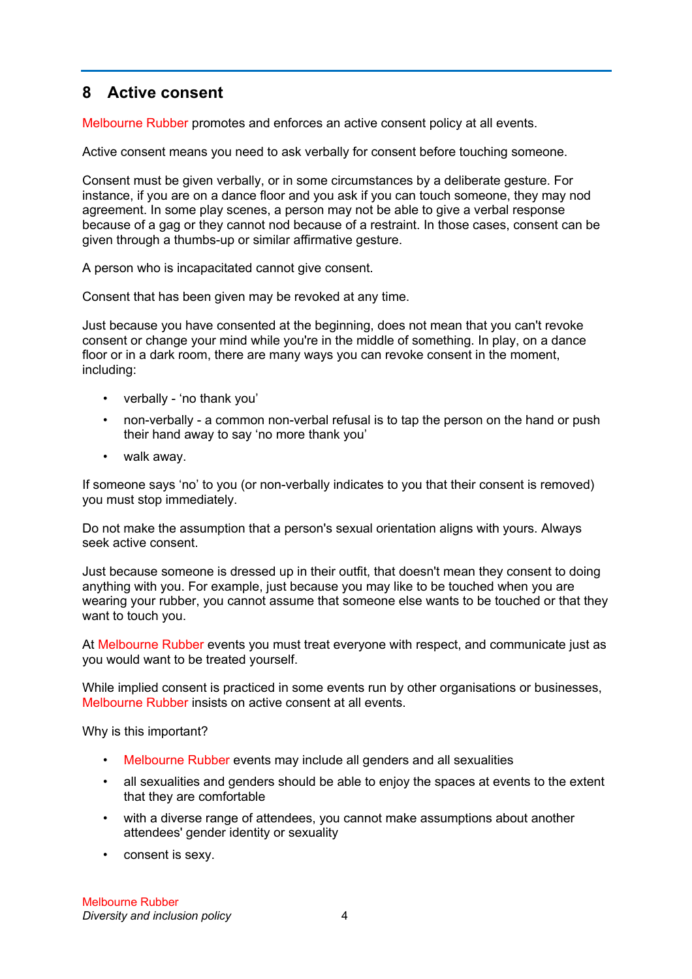# **8 Active consent**

Melbourne Rubber promotes and enforces an active consent policy at all events.

Active consent means you need to ask verbally for consent before touching someone.

Consent must be given verbally, or in some circumstances by a deliberate gesture. For instance, if you are on a dance floor and you ask if you can touch someone, they may nod agreement. In some play scenes, a person may not be able to give a verbal response because of a gag or they cannot nod because of a restraint. In those cases, consent can be given through a thumbs-up or similar affirmative gesture.

A person who is incapacitated cannot give consent.

Consent that has been given may be revoked at any time.

Just because you have consented at the beginning, does not mean that you can't revoke consent or change your mind while you're in the middle of something. In play, on a dance floor or in a dark room, there are many ways you can revoke consent in the moment, including:

- verbally 'no thank you'
- non-verbally a common non-verbal refusal is to tap the person on the hand or push their hand away to say 'no more thank you'
- walk away.

If someone says 'no' to you (or non-verbally indicates to you that their consent is removed) you must stop immediately.

Do not make the assumption that a person's sexual orientation aligns with yours. Always seek active consent.

Just because someone is dressed up in their outfit, that doesn't mean they consent to doing anything with you. For example, just because you may like to be touched when you are wearing your rubber, you cannot assume that someone else wants to be touched or that they want to touch you.

At Melbourne Rubber events you must treat everyone with respect, and communicate just as you would want to be treated yourself.

While implied consent is practiced in some events run by other organisations or businesses, Melbourne Rubber insists on active consent at all events.

Why is this important?

- Melbourne Rubber events may include all genders and all sexualities
- all sexualities and genders should be able to enjoy the spaces at events to the extent that they are comfortable
- with a diverse range of attendees, you cannot make assumptions about another attendees' gender identity or sexuality
- consent is sexy.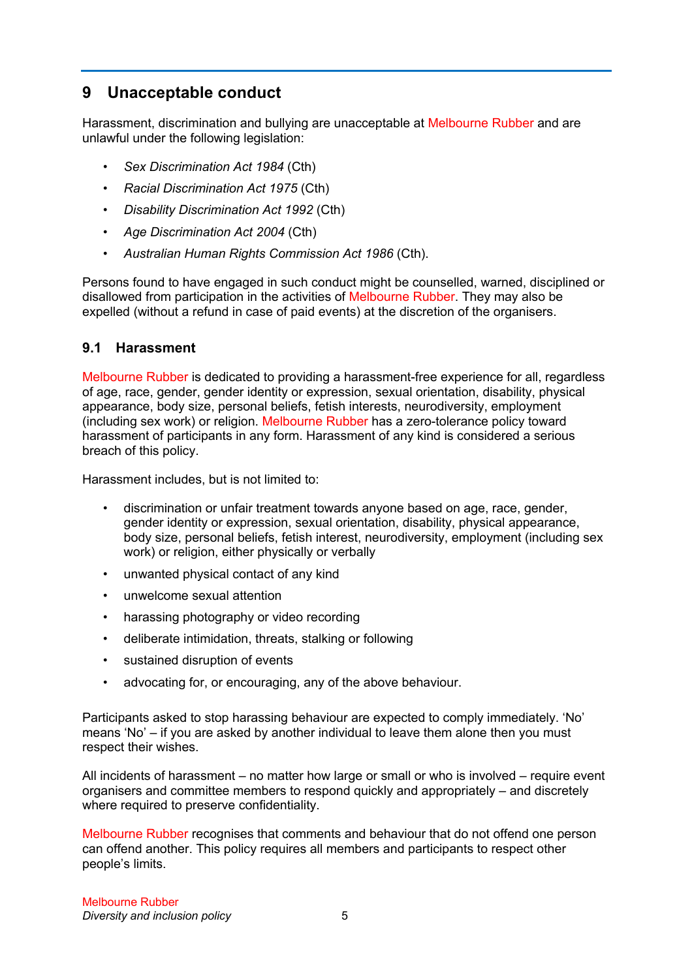# **9 Unacceptable conduct**

Harassment, discrimination and bullying are unacceptable at Melbourne Rubber and are unlawful under the following legislation:

- *Sex Discrimination Act 1984* (Cth)
- *Racial Discrimination Act 1975* (Cth)
- *Disability Discrimination Act 1992* (Cth)
- *Age Discrimination Act 2004* (Cth)
- *Australian Human Rights Commission Act 1986* (Cth).

Persons found to have engaged in such conduct might be counselled, warned, disciplined or disallowed from participation in the activities of Melbourne Rubber. They may also be expelled (without a refund in case of paid events) at the discretion of the organisers.

#### **9.1 Harassment**

Melbourne Rubber is dedicated to providing a harassment-free experience for all, regardless of age, race, gender, gender identity or expression, sexual orientation, disability, physical appearance, body size, personal beliefs, fetish interests, neurodiversity, employment (including sex work) or religion. Melbourne Rubber has a zero-tolerance policy toward harassment of participants in any form. Harassment of any kind is considered a serious breach of this policy.

Harassment includes, but is not limited to:

- discrimination or unfair treatment towards anyone based on age, race, gender, gender identity or expression, sexual orientation, disability, physical appearance, body size, personal beliefs, fetish interest, neurodiversity, employment (including sex work) or religion, either physically or verbally
- unwanted physical contact of any kind
- unwelcome sexual attention
- harassing photography or video recording
- deliberate intimidation, threats, stalking or following
- sustained disruption of events
- advocating for, or encouraging, any of the above behaviour.

Participants asked to stop harassing behaviour are expected to comply immediately. 'No' means 'No' – if you are asked by another individual to leave them alone then you must respect their wishes.

All incidents of harassment – no matter how large or small or who is involved – require event organisers and committee members to respond quickly and appropriately – and discretely where required to preserve confidentiality.

Melbourne Rubber recognises that comments and behaviour that do not offend one person can offend another. This policy requires all members and participants to respect other people's limits.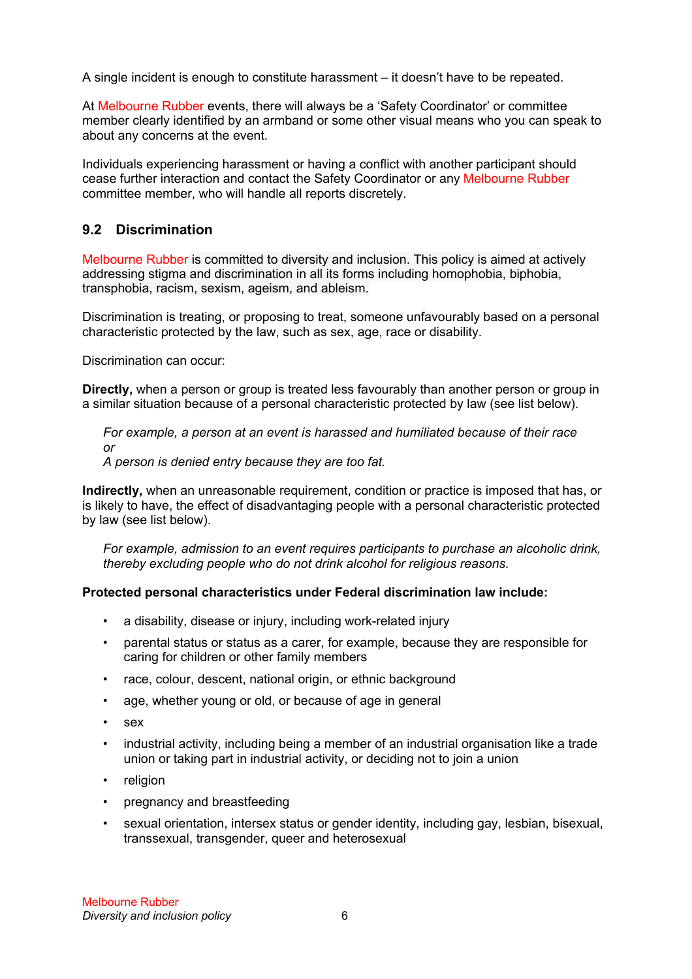A single incident is enough to constitute harassment – it doesn't have to be repeated.

At Melbourne Rubber events, there will always be a 'Safety Coordinator' or committee member clearly identified by an armband or some other visual means who you can speak to about any concerns at the event.

Individuals experiencing harassment or having a conflict with another participant should cease further interaction and contact the Safety Coordinator or any Melbourne Rubber committee member, who will handle all reports discretely.

### **9.2 Discrimination**

Melbourne Rubber is committed to diversity and inclusion. This policy is aimed at actively addressing stigma and discrimination in all its forms including homophobia, biphobia, transphobia, racism, sexism, ageism, and ableism.

Discrimination is treating, or proposing to treat, someone unfavourably based on a personal characteristic protected by the law, such as sex, age, race or disability.

Discrimination can occur:

**Directly,** when a person or group is treated less favourably than another person or group in a similar situation because of a personal characteristic protected by law (see list below).

*For example, a person at an event is harassed and humiliated because of their race or*

*A person is denied entry because they are too fat.*

**Indirectly,** when an unreasonable requirement, condition or practice is imposed that has, or is likely to have, the effect of disadvantaging people with a personal characteristic protected by law (see list below).

*For example, admission to an event requires participants to purchase an alcoholic drink, thereby excluding people who do not drink alcohol for religious reasons.*

#### **Protected personal characteristics under Federal discrimination law include:**

- a disability, disease or injury, including work-related injury
- parental status or status as a carer, for example, because they are responsible for caring for children or other family members
- race, colour, descent, national origin, or ethnic background
- age, whether young or old, or because of age in general
- sex
- industrial activity, including being a member of an industrial organisation like a trade union or taking part in industrial activity, or deciding not to join a union
- religion
- pregnancy and breastfeeding
- sexual orientation, intersex status or gender identity, including gay, lesbian, bisexual, transsexual, transgender, queer and heterosexual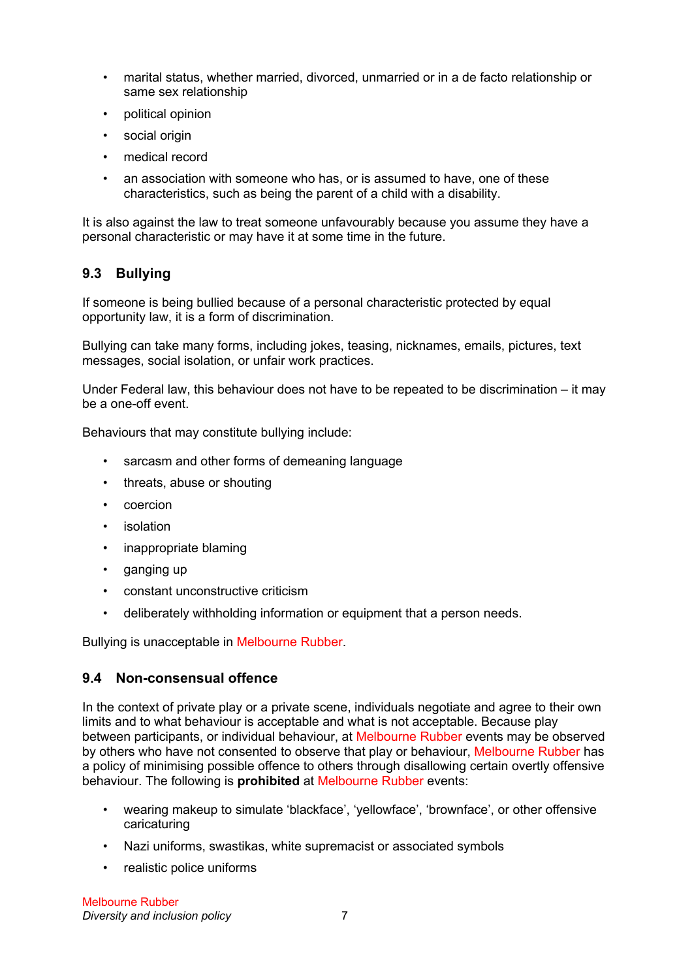- marital status, whether married, divorced, unmarried or in a de facto relationship or same sex relationship
- political opinion
- social origin
- medical record
- an association with someone who has, or is assumed to have, one of these characteristics, such as being the parent of a child with a disability.

It is also against the law to treat someone unfavourably because you assume they have a personal characteristic or may have it at some time in the future.

### **9.3 Bullying**

If someone is being bullied because of a personal characteristic protected by equal opportunity law, it is a form of discrimination.

Bullying can take many forms, including jokes, teasing, nicknames, emails, pictures, text messages, social isolation, or unfair work practices.

Under Federal law, this behaviour does not have to be repeated to be discrimination – it may be a one-off event.

Behaviours that may constitute bullying include:

- sarcasm and other forms of demeaning language
- threats, abuse or shouting
- coercion
- isolation
- inappropriate blaming
- ganging up
- constant unconstructive criticism
- deliberately withholding information or equipment that a person needs.

Bullying is unacceptable in Melbourne Rubber.

#### **9.4 Non-consensual offence**

In the context of private play or a private scene, individuals negotiate and agree to their own limits and to what behaviour is acceptable and what is not acceptable. Because play between participants, or individual behaviour, at Melbourne Rubber events may be observed by others who have not consented to observe that play or behaviour, Melbourne Rubber has a policy of minimising possible offence to others through disallowing certain overtly offensive behaviour. The following is **prohibited** at Melbourne Rubber events:

- wearing makeup to simulate 'blackface', 'yellowface', 'brownface', or other offensive caricaturing
- Nazi uniforms, swastikas, white supremacist or associated symbols
- realistic police uniforms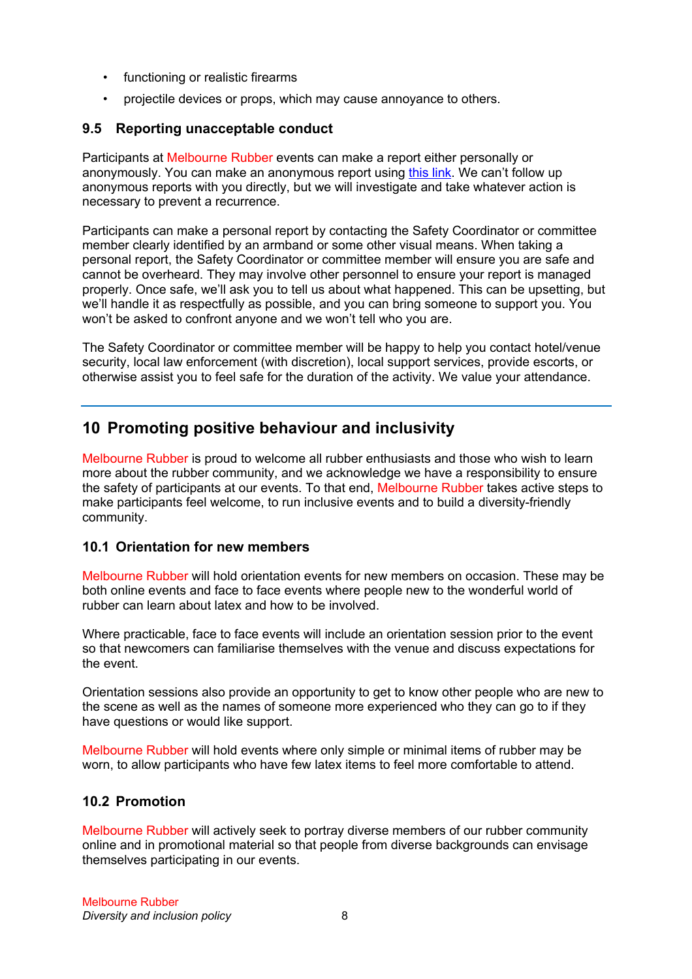- functioning or realistic firearms
- projectile devices or props, which may cause annoyance to others.

### **9.5 Reporting unacceptable conduct**

Participants at Melbourne Rubber events can make a report either personally or anonymously. You can make an anonymous report using this link. We can't follow up anonymous reports with you directly, but we will investigate and take whatever action is necessary to prevent a recurrence.

Participants can make a personal report by contacting the Safety Coordinator or committee member clearly identified by an armband or some other visual means. When taking a personal report, the Safety Coordinator or committee member will ensure you are safe and cannot be overheard. They may involve other personnel to ensure your report is managed properly. Once safe, we'll ask you to tell us about what happened. This can be upsetting, but we'll handle it as respectfully as possible, and you can bring someone to support you. You won't be asked to confront anyone and we won't tell who you are.

The Safety Coordinator or committee member will be happy to help you contact hotel/venue security, local law enforcement (with discretion), local support services, provide escorts, or otherwise assist you to feel safe for the duration of the activity. We value your attendance.

# **10 Promoting positive behaviour and inclusivity**

Melbourne Rubber is proud to welcome all rubber enthusiasts and those who wish to learn more about the rubber community, and we acknowledge we have a responsibility to ensure the safety of participants at our events. To that end, Melbourne Rubber takes active steps to make participants feel welcome, to run inclusive events and to build a diversity-friendly community.

### **10.1 Orientation for new members**

Melbourne Rubber will hold orientation events for new members on occasion. These may be both online events and face to face events where people new to the wonderful world of rubber can learn about latex and how to be involved.

Where practicable, face to face events will include an orientation session prior to the event so that newcomers can familiarise themselves with the venue and discuss expectations for the event.

Orientation sessions also provide an opportunity to get to know other people who are new to the scene as well as the names of someone more experienced who they can go to if they have questions or would like support.

Melbourne Rubber will hold events where only simple or minimal items of rubber may be worn, to allow participants who have few latex items to feel more comfortable to attend.

### **10.2 Promotion**

Melbourne Rubber will actively seek to portray diverse members of our rubber community online and in promotional material so that people from diverse backgrounds can envisage themselves participating in our events.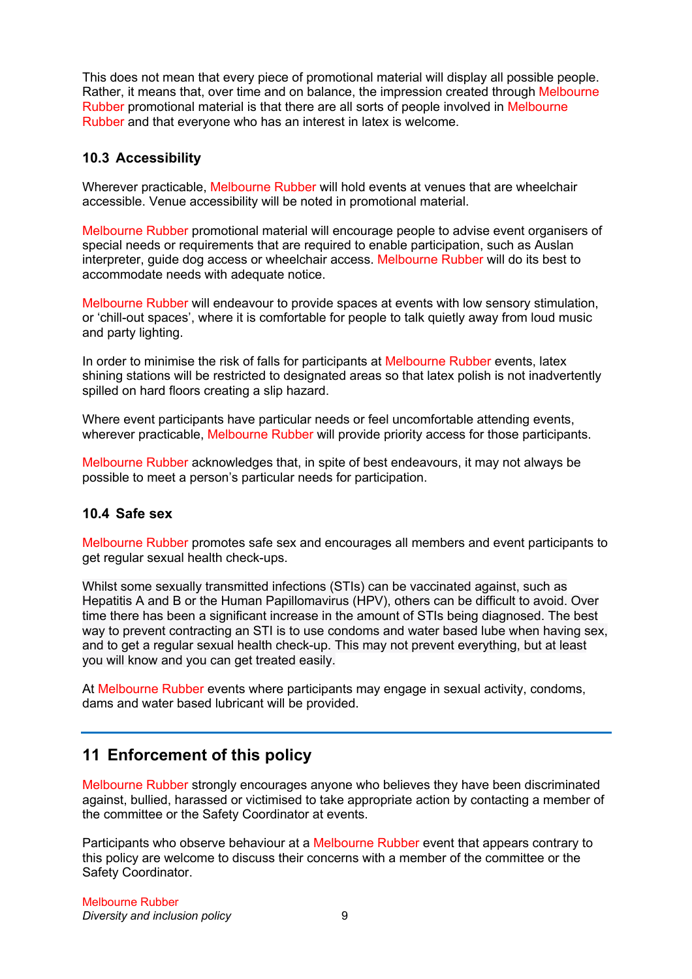This does not mean that every piece of promotional material will display all possible people. Rather, it means that, over time and on balance, the impression created through Melbourne Rubber promotional material is that there are all sorts of people involved in Melbourne Rubber and that everyone who has an interest in latex is welcome.

### **10.3 Accessibility**

Wherever practicable, Melbourne Rubber will hold events at venues that are wheelchair accessible. Venue accessibility will be noted in promotional material.

Melbourne Rubber promotional material will encourage people to advise event organisers of special needs or requirements that are required to enable participation, such as Auslan interpreter, guide dog access or wheelchair access. Melbourne Rubber will do its best to accommodate needs with adequate notice.

Melbourne Rubber will endeavour to provide spaces at events with low sensory stimulation, or 'chill-out spaces', where it is comfortable for people to talk quietly away from loud music and party lighting.

In order to minimise the risk of falls for participants at Melbourne Rubber events, latex shining stations will be restricted to designated areas so that latex polish is not inadvertently spilled on hard floors creating a slip hazard.

Where event participants have particular needs or feel uncomfortable attending events, wherever practicable, Melbourne Rubber will provide priority access for those participants.

Melbourne Rubber acknowledges that, in spite of best endeavours, it may not always be possible to meet a person's particular needs for participation.

### **10.4 Safe sex**

Melbourne Rubber promotes safe sex and encourages all members and event participants to get regular sexual health check-ups.

Whilst some sexually transmitted infections (STIs) can be vaccinated against, such as Hepatitis A and B or the Human Papillomavirus (HPV), others can be difficult to avoid. Over time there has been a significant increase in the amount of STIs being diagnosed. The best way to prevent contracting an STI is to use condoms and water based lube when having sex, and to get a regular sexual health check-up. This may not prevent everything, but at least you will know and you can get treated easily.

At Melbourne Rubber events where participants may engage in sexual activity, condoms, dams and water based lubricant will be provided.

# **11 Enforcement of this policy**

Melbourne Rubber strongly encourages anyone who believes they have been discriminated against, bullied, harassed or victimised to take appropriate action by contacting a member of the committee or the Safety Coordinator at events.

Participants who observe behaviour at a Melbourne Rubber event that appears contrary to this policy are welcome to discuss their concerns with a member of the committee or the Safety Coordinator.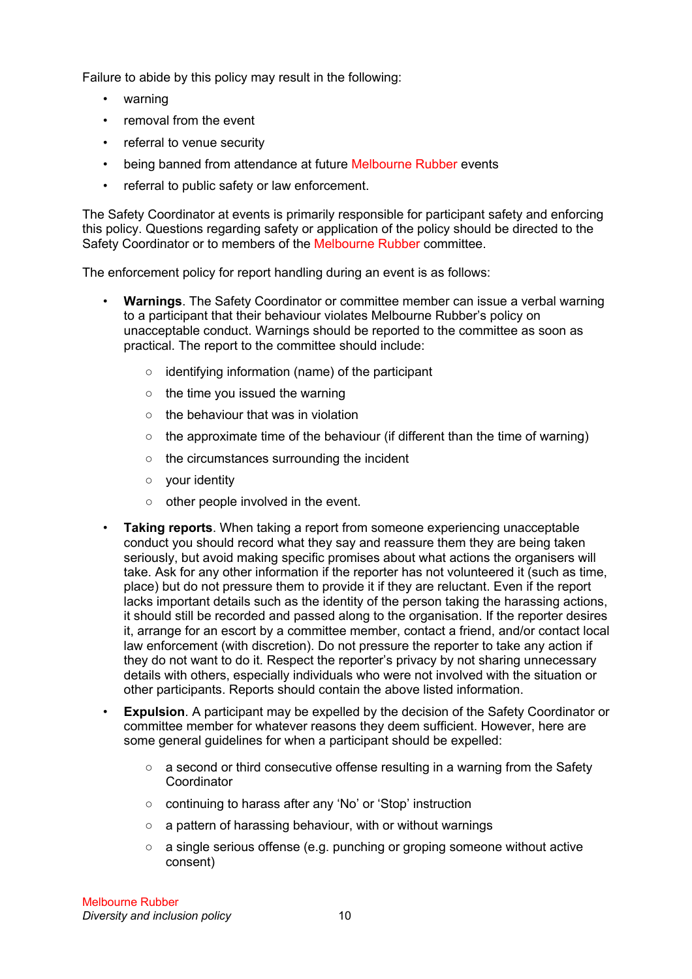Failure to abide by this policy may result in the following:

- warning
- removal from the event
- referral to venue security
- being banned from attendance at future Melbourne Rubber events
- referral to public safety or law enforcement.

The Safety Coordinator at events is primarily responsible for participant safety and enforcing this policy. Questions regarding safety or application of the policy should be directed to the Safety Coordinator or to members of the Melbourne Rubber committee.

The enforcement policy for report handling during an event is as follows:

- **Warnings**. The Safety Coordinator or committee member can issue a verbal warning to a participant that their behaviour violates Melbourne Rubber's policy on unacceptable conduct. Warnings should be reported to the committee as soon as practical. The report to the committee should include:
	- identifying information (name) of the participant
	- the time you issued the warning
	- the behaviour that was in violation
	- $\circ$  the approximate time of the behaviour (if different than the time of warning)
	- the circumstances surrounding the incident
	- your identity
	- other people involved in the event.
- **Taking reports**. When taking a report from someone experiencing unacceptable conduct you should record what they say and reassure them they are being taken seriously, but avoid making specific promises about what actions the organisers will take. Ask for any other information if the reporter has not volunteered it (such as time, place) but do not pressure them to provide it if they are reluctant. Even if the report lacks important details such as the identity of the person taking the harassing actions, it should still be recorded and passed along to the organisation. If the reporter desires it, arrange for an escort by a committee member, contact a friend, and/or contact local law enforcement (with discretion). Do not pressure the reporter to take any action if they do not want to do it. Respect the reporter's privacy by not sharing unnecessary details with others, especially individuals who were not involved with the situation or other participants. Reports should contain the above listed information.
- **Expulsion**. A participant may be expelled by the decision of the Safety Coordinator or committee member for whatever reasons they deem sufficient. However, here are some general guidelines for when a participant should be expelled:
	- $\circ$  a second or third consecutive offense resulting in a warning from the Safety **Coordinator**
	- continuing to harass after any 'No' or 'Stop' instruction
	- a pattern of harassing behaviour, with or without warnings
	- $\circ$  a single serious offense (e.g. punching or groping someone without active consent)